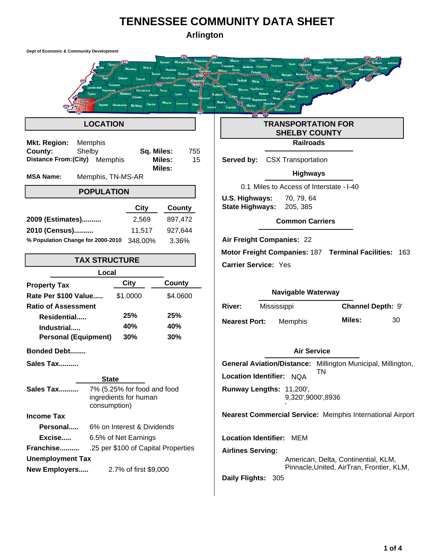# **TENNESSEE COMMUNITY DATA SHEET**

**Arlington**

| Dept of Economic & Community Development                                                       |                                                                          |
|------------------------------------------------------------------------------------------------|--------------------------------------------------------------------------|
| Henry                                                                                          | <b>DeKalb</b>                                                            |
| <b>LOCATION</b>                                                                                | <b>TRANSPORTATION FOR</b><br><b>SHELBY COUNTY</b>                        |
| <b>Mkt. Region:</b><br>Memphis                                                                 | <b>Railroads</b>                                                         |
| County:<br>Shelby<br>Sq. Miles:<br><b>Distance From: (City)</b><br>Memphis<br>Miles:<br>Miles: | 755<br>15<br>Served by:<br><b>CSX Transportation</b><br><b>Highways</b>  |
| <b>MSA Name:</b><br>Memphis, TN-MS-AR                                                          |                                                                          |
| <b>POPULATION</b>                                                                              | 0.1 Miles to Access of Interstate - I-40<br>U.S. Highways:<br>70, 79, 64 |
| City<br>County                                                                                 | <b>State Highways:</b><br>205, 385                                       |
| 897,472<br>2009 (Estimates)<br>2,569                                                           | <b>Common Carriers</b>                                                   |
| 11,517<br>927,644<br>2010 (Census)                                                             |                                                                          |
| % Population Change for 2000-2010<br>3.36%<br>348.00%                                          | Air Freight Companies: 22                                                |
| <b>TAX STRUCTURE</b>                                                                           | Motor Freight Companies: 187 Terminal Facilities: 163                    |
|                                                                                                | <b>Carrier Service: Yes</b>                                              |
| Local<br>City<br>County                                                                        |                                                                          |
| <b>Property Tax</b><br>Rate Per \$100 Value<br>\$1.0000<br>\$4.0600                            | <b>Navigable Waterway</b>                                                |
| <b>Ratio of Assessment</b>                                                                     | Channel Depth: 9'<br><b>River:</b><br>Mississippi                        |
| 25%<br>25%<br>Residential                                                                      |                                                                          |
| 40%<br>40%<br>Industrial                                                                       | Miles:<br>30<br><b>Nearest Port:</b><br>Memphis                          |
| <b>Personal (Equipment)</b><br>30%<br>30%                                                      |                                                                          |
| <b>Bonded Debt</b>                                                                             | <b>Air Service</b>                                                       |
| Sales Tax                                                                                      | General Aviation/Distance: Millington Municipal, Millington,             |
| <b>State</b>                                                                                   | TN<br>Location Identifier: NQA                                           |
| 7% (5.25% for food and food<br>Sales Tax<br>ingredients for human<br>consumption)              | Runway Lengths: 11,200',<br>9,320',9000',8936                            |
| <b>Income Tax</b>                                                                              | <b>Nearest Commercial Service: Memphis International Airport</b>         |
| Personal<br>6% on Interest & Dividends                                                         |                                                                          |
| 6.5% of Net Earnings<br>Excise                                                                 | <b>Location Identifier: MEM</b>                                          |
| Franchise<br>.25 per \$100 of Capital Properties                                               | <b>Airlines Serving:</b>                                                 |
| <b>Unemployment Tax</b>                                                                        | American, Delta, Continential, KLM,                                      |
| <b>New Employers</b><br>2.7% of first \$9,000                                                  | Pinnacle, United, AirTran, Frontier, KLM,<br>Daily Flights: 305          |
|                                                                                                |                                                                          |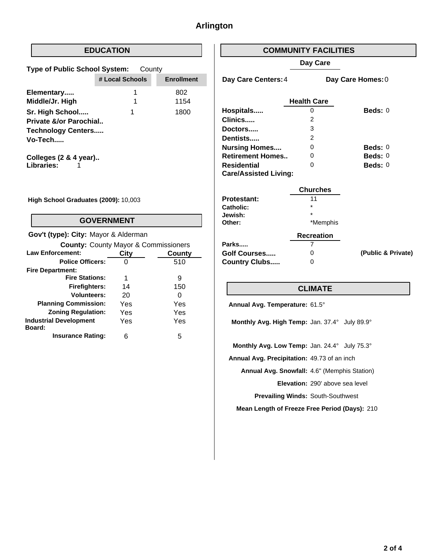## **Arlington**

### **EDUCATION**

| <b>Type of Public School System:</b> | County          |                   |
|--------------------------------------|-----------------|-------------------|
|                                      | # Local Schools | <b>Enrollment</b> |
| Elementary                           | 1               | 802               |
| Middle/Jr. High                      | 1               | 1154              |
| Sr. High School                      | 1               | 1800              |
| Private &/or Parochial               |                 |                   |
| <b>Technology Centers</b>            |                 |                   |
| Vo-Tech                              |                 |                   |
|                                      |                 |                   |

**Colleges (2 & 4 year).. Libraries:** 1

**High School Graduates (2009):** 10,003

#### **GOVERNMENT**

| Gov't (type): City: Mayor & Alderman            |      |        |
|-------------------------------------------------|------|--------|
| <b>County: County Mayor &amp; Commissioners</b> |      |        |
| <b>Law Enforcement:</b>                         | City | County |
| <b>Police Officers:</b>                         |      | 510    |
| <b>Fire Department:</b>                         |      |        |
| <b>Fire Stations:</b>                           | 1    | 9      |
| <b>Firefighters:</b>                            | 14   | 150    |
| Volunteers:                                     | 20   | O      |
| <b>Planning Commission:</b>                     | Yes  | Yes    |
| <b>Zoning Regulation:</b>                       | Yes  | Yes    |
| <b>Industrial Development</b><br>Board:         | Yes  | Yes    |
| <b>Insurance Rating:</b>                        |      | 5      |

#### **COMMUNITY FACILITIES**

#### **Day Care**

**Day Care Centers:**

**Day Care Homes:** 4 0

|                              | <b>Health Care</b> |                    |
|------------------------------|--------------------|--------------------|
| Hospitals                    |                    | $\text{Beds}: 0$   |
| Clinics                      | 2                  |                    |
| Doctors                      | 3                  |                    |
| Dentists                     | 2                  |                    |
| <b>Nursing Homes</b>         | 0                  | $\text{Beds}: 0$   |
| <b>Retirement Homes</b>      | O                  | $\textbf{Beds}: 0$ |
| Residential                  | O                  | Beds: $0$          |
| <b>Care/Assisted Living:</b> |                    |                    |
|                              |                    |                    |

|                      | <b>Churches</b>   |                    |
|----------------------|-------------------|--------------------|
| <b>Protestant:</b>   | 11                |                    |
| Catholic:            | $\star$           |                    |
| Jewish:              | $\star$           |                    |
| Other:               | *Memphis          |                    |
|                      | <b>Recreation</b> |                    |
| Parks                |                   |                    |
| <b>Golf Courses</b>  | 0                 | (Public & Private) |
| <b>Country Clubs</b> | O                 |                    |
|                      |                   |                    |

#### **CLIMATE**

**Annual Avg. Temperature:** 61.5°

**Monthly Avg. High Temp:** Jan. 37.4° July 89.9°

**Monthly Avg. Low Temp:** Jan. 24.4° July 75.3°

**Annual Avg. Precipitation:** 49.73 of an inch

**Annual Avg. Snowfall:** 4.6" (Memphis Station)

**Elevation:** 290' above sea level

**Prevailing Winds:** South-Southwest

**Mean Length of Freeze Free Period (Days):** 210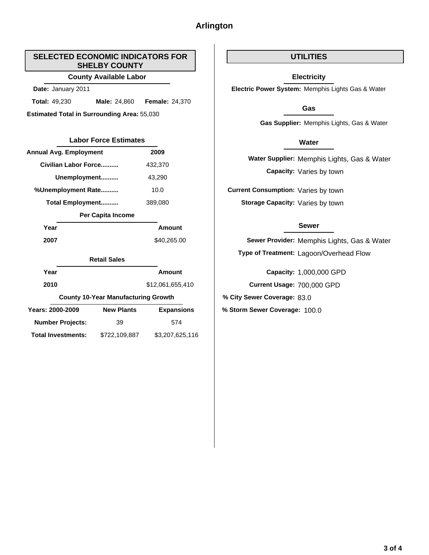## **Arlington**

#### **SELECTED ECONOMIC INDICATORS FOR SHELBY COUNTY**

#### **County Available Labor**

**Date:** January 2011

**Total:** 49,230 **Male:** 24,860 49,230 **Male:** 24,860 **Female:** 24,370

**Estimated Total in Surrounding Area:** 55,030

## Labor Force Estimates **Water Water**

| <b>Annual Avg. Employment</b> | 2009    |
|-------------------------------|---------|
| Civilian Labor Force          | 432.370 |
| Unemployment                  | 43.290  |
| %Unemployment Rate            | 10.0    |
| <b>Total Employment</b>       | 389,080 |

#### **Per Capita Income**

| Year | Amount      |
|------|-------------|
| 2007 | \$40,265.00 |

#### **Retail Sales**

| Year                      | Amount                                     |                   |  |
|---------------------------|--------------------------------------------|-------------------|--|
| 2010                      | \$12,061,655,410                           |                   |  |
|                           | <b>County 10-Year Manufacturing Growth</b> |                   |  |
| Years: 2000-2009          | <b>New Plants</b>                          | <b>Expansions</b> |  |
| <b>Number Projects:</b>   | 39                                         | 574               |  |
| <b>Total Investments:</b> | \$722.109.887                              | \$3,207,625,116   |  |

#### **UTILITIES**

#### **Electricity**

**Electric Power System:** Memphis Lights Gas & Water

#### **Gas**

**Gas Supplier:** Memphis Lights, Gas & Water

**Water Supplier:** Memphis Lights, Gas & Water **Capacity:** Varies by town

**Current Consumption:** Varies by town **Storage Capacity:** Varies by town

#### **Sewer**

**Sewer Provider:** Memphis Lights, Gas & Water **Type of Treatment:** Lagoon/Overhead Flow

**Current Usage:** 700,000 GPD **Capacity:** 1,000,000 GPD

**% City Sewer Coverage:** 83.0

**New Plants % Storm Sewer Coverage:** 100.0